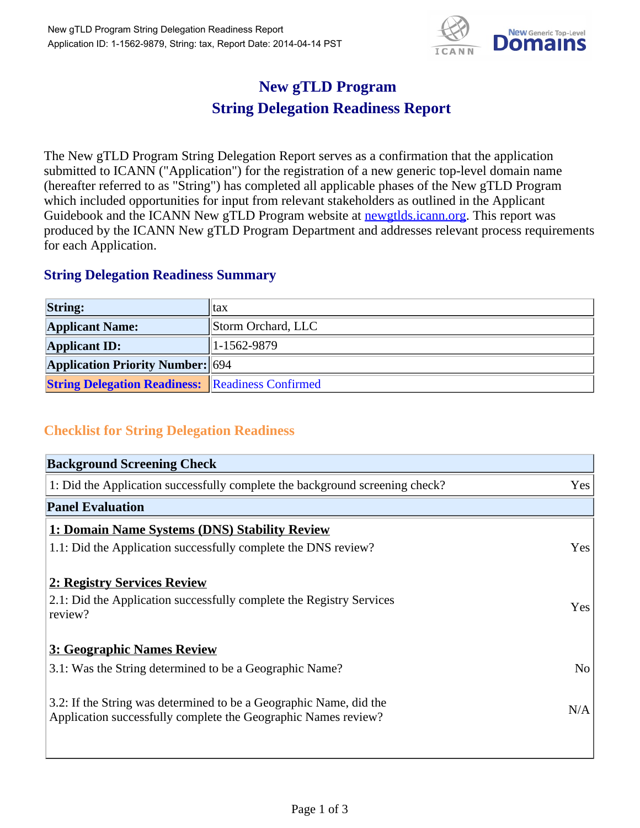

## **New gTLD Program String Delegation Readiness Report**

The New gTLD Program String Delegation Report serves as a confirmation that the application submitted to ICANN ("Application") for the registration of a new generic top-level domain name (hereafter referred to as "String") has completed all applicable phases of the New gTLD Program which included opportunities for input from relevant stakeholders as outlined in the Applicant Guidebook and the ICANN New gTLD Program website at newgtlds.icann.org. This report was produced by the ICANN New gTLD Program Department and addresses relevant process requirements for each Application.

## **String Delegation Readiness Summary**

| <b>String:</b>                                          | <sub>l</sub> tax   |
|---------------------------------------------------------|--------------------|
| <b>Applicant Name:</b>                                  | Storm Orchard, LLC |
| <b>Applicant ID:</b>                                    | $1-1562-9879$      |
| <b>Application Priority Number: 694</b>                 |                    |
| <b>String Delegation Readiness:</b> Readiness Confirmed |                    |

## **Checklist for String Delegation Readiness**

| <b>Background Screening Check</b>                                               |                |
|---------------------------------------------------------------------------------|----------------|
| 1: Did the Application successfully complete the background screening check?    | Yes            |
| <b>Panel Evaluation</b>                                                         |                |
| 1: Domain Name Systems (DNS) Stability Review                                   |                |
| 1.1: Did the Application successfully complete the DNS review?                  | Yes            |
| 2: Registry Services Review                                                     |                |
|                                                                                 |                |
| 2.1: Did the Application successfully complete the Registry Services<br>review? | <b>Yes</b>     |
|                                                                                 |                |
| 3: Geographic Names Review                                                      |                |
| 3.1: Was the String determined to be a Geographic Name?                         | N <sub>0</sub> |
| 3.2: If the String was determined to be a Geographic Name, did the              |                |
| Application successfully complete the Geographic Names review?                  | N/A            |
|                                                                                 |                |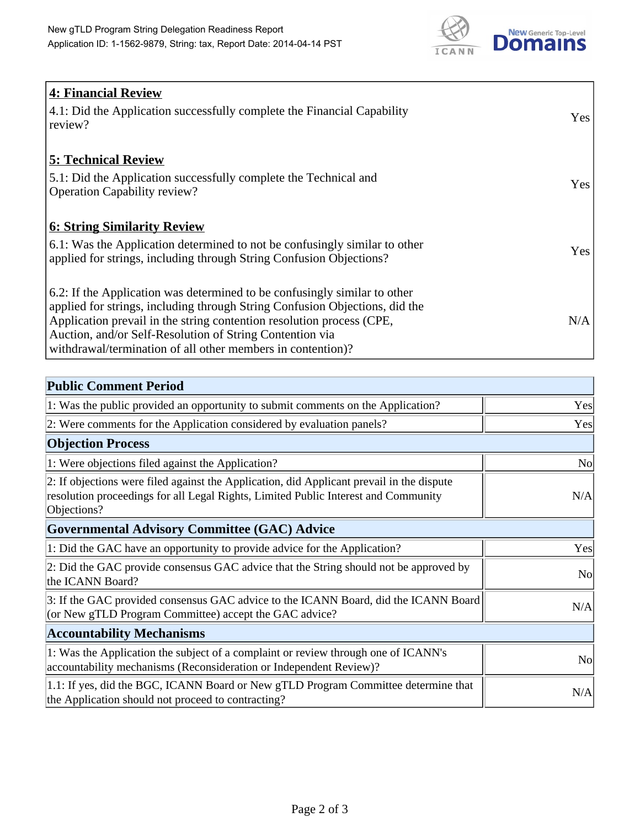

| <b>4: Financial Review</b>                                                         |            |
|------------------------------------------------------------------------------------|------------|
| $\vert$ 4.1: Did the Application successfully complete the Financial Capability    | <b>Yes</b> |
| review?                                                                            |            |
|                                                                                    |            |
| <b>5: Technical Review</b>                                                         |            |
| 5.1: Did the Application successfully complete the Technical and                   |            |
| <b>Operation Capability review?</b>                                                | <b>Yes</b> |
|                                                                                    |            |
| <b>6: String Similarity Review</b>                                                 |            |
| $\vert$ 6.1: Was the Application determined to not be confusingly similar to other | Yes        |
| applied for strings, including through String Confusion Objections?                |            |
|                                                                                    |            |
| 6.2: If the Application was determined to be confusingly similar to other          |            |
| applied for strings, including through String Confusion Objections, did the        |            |
| Application prevail in the string contention resolution process (CPE,              | N/A        |
| Auction, and/or Self-Resolution of String Contention via                           |            |
| withdrawal/termination of all other members in contention)?                        |            |

| <b>Public Comment Period</b>                                                                                                                                                                   |                |
|------------------------------------------------------------------------------------------------------------------------------------------------------------------------------------------------|----------------|
| 1: Was the public provided an opportunity to submit comments on the Application?                                                                                                               | Yes            |
| 2: Were comments for the Application considered by evaluation panels?                                                                                                                          | Yes            |
| <b>Objection Process</b>                                                                                                                                                                       |                |
| 1: Were objections filed against the Application?                                                                                                                                              | No             |
| 2: If objections were filed against the Application, did Applicant prevail in the dispute<br>resolution proceedings for all Legal Rights, Limited Public Interest and Community<br>Objections? | N/A            |
| <b>Governmental Advisory Committee (GAC) Advice</b>                                                                                                                                            |                |
| 1: Did the GAC have an opportunity to provide advice for the Application?                                                                                                                      | Yes            |
| 2: Did the GAC provide consensus GAC advice that the String should not be approved by<br>the ICANN Board?                                                                                      | N <sub>o</sub> |
| 3: If the GAC provided consensus GAC advice to the ICANN Board, did the ICANN Board<br>(or New gTLD Program Committee) accept the GAC advice?                                                  | N/A            |
| <b>Accountability Mechanisms</b>                                                                                                                                                               |                |
| 1: Was the Application the subject of a complaint or review through one of ICANN's<br>accountability mechanisms (Reconsideration or Independent Review)?                                       | N <sub>0</sub> |
| 1.1: If yes, did the BGC, ICANN Board or New gTLD Program Committee determine that<br>the Application should not proceed to contracting?                                                       | N/A            |